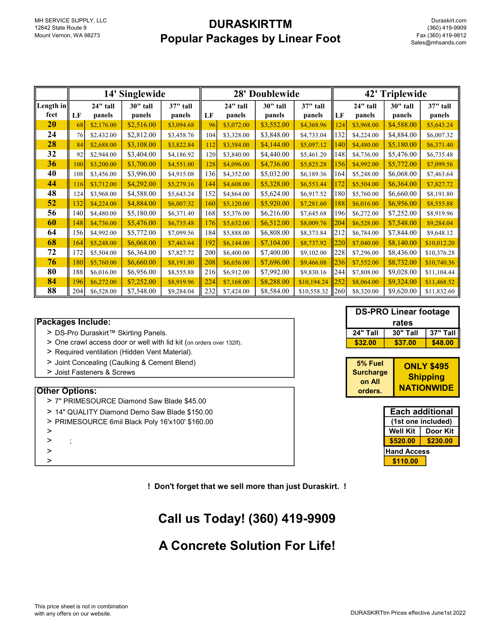## **DURASKIRTTM** Popular Packages by Linear Foot

|           | 14' Singlewide |            |            |            | 28' Doublewide |            |            |             | 42' Triplewide  |            |            |             |
|-----------|----------------|------------|------------|------------|----------------|------------|------------|-------------|-----------------|------------|------------|-------------|
| Length in |                | 24" tall   | 30" tall   | 37" tall   |                | 24" tall   | 30" tall   | 37" tall    |                 | 24" tall   | 30" tall   | 37" tall    |
| feet      | LF             | panels     | panels     | panels     | LF             | panels     | panels     | panels      | LF              | panels     | panels     | panels      |
| 20        | 68             | \$2,176.00 | \$2,516.00 | \$3,094.68 | 96             | \$3,072.00 | \$3,552.00 | \$4,368.96  | 124             | \$3,968.00 | \$4,588.00 | \$5,643.24  |
| 24        | 76             | \$2,432.00 | \$2,812.00 | \$3,458.76 | 104            | \$3,328.00 | \$3,848.00 | \$4,733.04  | 132             | \$4,224.00 | \$4,884.00 | \$6,007.32  |
| 28        | 84             | \$2,688.00 | \$3,108.00 | \$3,822.84 | 112            | \$3,584.00 | \$4,144.00 | \$5,097.12  | 140             | \$4,480.00 | \$5,180.00 | \$6,371.40  |
| 32        | 92             | \$2,944.00 | \$3,404.00 | \$4,186.92 | 120            | \$3,840.00 | \$4,440.00 | \$5,461.20  | 148             | \$4,736.00 | \$5,476.00 | \$6,735.48  |
| 36        | 100            | \$3,200.00 | \$3,700.00 | \$4,551.00 | 128            | \$4,096.00 | \$4,736.00 | \$5,825.28  | 156             | \$4,992.00 | \$5,772.00 | \$7,099.56  |
| 40        | 108            | \$3,456.00 | \$3,996.00 | \$4,915.08 | 136            | \$4,352.00 | \$5,032.00 | \$6,189.36  | 164             | \$5,248.00 | \$6,068.00 | \$7,463.64  |
| 44        | 116            | \$3,712.00 | \$4,292.00 | \$5,279.16 | 144            | \$4,608.00 | \$5,328.00 | \$6,553.44  | 172             | \$5,504.00 | \$6,364.00 | \$7,827.72  |
| 48        | 124            | \$3,968.00 | \$4,588.00 | \$5,643.24 | 152            | \$4,864.00 | \$5,624.00 | \$6,917.52  | 180             | \$5,760.00 | \$6,660.00 | \$8,191.80  |
| 52        | 132            | \$4,224.00 | \$4,884.00 | \$6,007.32 | 160            | \$5,120.00 | \$5,920.00 | \$7,281.60  | 188             | \$6,016.00 | \$6,956.00 | \$8,555.88  |
| 56        | 140            | \$4,480.00 | \$5,180.00 | \$6,371.40 | 168            | \$5,376.00 | \$6,216.00 | \$7,645.68  | 196             | \$6,272.00 | \$7,252.00 | \$8,919.96  |
| 60        | 148            | \$4,736.00 | \$5,476.00 | \$6,735.48 | 176            | \$5,632.00 | \$6,512.00 | \$8,009.76  | 204             | \$6,528.00 | \$7,548.00 | \$9,284.04  |
| 64        | 156            | \$4,992.00 | \$5,772.00 | \$7,099.56 | 184            | \$5,888.00 | \$6,808.00 | \$8,373.84  | 212             | \$6,784.00 | \$7,844.00 | \$9,648.12  |
| 68        | 164            | \$5,248.00 | \$6,068.00 | \$7,463.64 | 192            | \$6,144.00 | \$7,104.00 | \$8,737.92  | 220             | \$7,040.00 | \$8,140.00 | \$10,012.20 |
| 72        | 172            | \$5,504.00 | \$6,364.00 | \$7,827.72 | 200            | \$6,400.00 | \$7,400.00 | \$9,102.00  | 228             | \$7,296.00 | \$8,436.00 | \$10,376.28 |
| 76        | 180            | \$5,760.00 | \$6,660.00 | \$8,191.80 | 208            | \$6,656.00 | \$7,696.00 | \$9,466.08  | 236             | \$7,552.00 | \$8,732.00 | \$10,740.36 |
| 80        | 188            | \$6,016.00 | \$6,956.00 | \$8,555.88 | 216            | \$6,912.00 | \$7,992.00 | \$9,830.16  | 244             | \$7,808.00 | \$9,028.00 | \$11,104.44 |
| 84        | 196            | \$6,272.00 | \$7,252.00 | \$8,919.96 | 224            | \$7,168.00 | \$8,288.00 | \$10,194.24 | 252             | \$8,064.00 | \$9,324.00 | \$11,468.52 |
| 88        | 204            | \$6,528.00 | \$7,548.00 | \$9,284.04 | 232            | \$7,424.00 | \$8,584.00 | \$10,558.32 | $\parallel$ 260 | \$8,320.00 | \$9,620.00 | \$11,832.60 |

### Packages Include:

- > DS-Pro Duraskirt™ Skirting Panels.
- > One crawl access door or well with lid kit (on orders over 132lf).
- > Required ventilation (Hidden Vent Material).
- > Joint Concealing (Caulking & Cement Blend)
- > Joist Fasteners & Screws

#### Other Options:

- > 7" PRIMESOURCE Diamond Saw Blade \$45.00
- > 14" QUALITY Diamond Demo Saw Blade \$150.00
- > PRIMESOURCE 6mil Black Poly 16'x100' \$160.00
- >
- $\geq$
- 
- 

! Don't forget that we sell more than just Duraskirt. !

# Call us Today! (360) 419-9909

## A Concrete Solution For Life!

| <b>DS-PRO Linear footage</b> |                 |            |  |  |  |  |
|------------------------------|-----------------|------------|--|--|--|--|
| rates                        |                 |            |  |  |  |  |
| 24" Tall                     | <b>30" Tall</b> | $37"$ Tall |  |  |  |  |
| \$32.00                      | \$37.00         | \$48.00    |  |  |  |  |

| 5% Fuel          | <b>ONLY \$495</b> |
|------------------|-------------------|
| <b>Surcharge</b> | <b>Shipping</b>   |
| on All           |                   |
| orders.          | <b>NATIONWIDE</b> |

| > 14" QUALITY Diamond Demo Saw Blade \$150.00   |                    | <b>Each additional</b> |  |  |
|-------------------------------------------------|--------------------|------------------------|--|--|
| > PRIMESOURCE 6mil Black Poly 16'x100' \$160.00 |                    | (1st one included)     |  |  |
|                                                 | Well Kit           | Door Kit               |  |  |
|                                                 | \$520.00           | \$230.00               |  |  |
|                                                 | <b>Hand Access</b> |                        |  |  |
|                                                 | \$110.00           |                        |  |  |